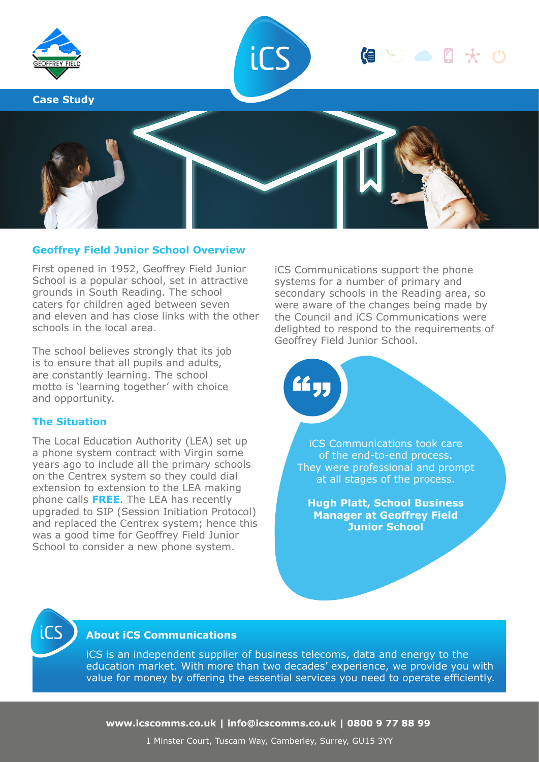

### **Geoffrey Field Junior School Overview**

First opened in 1952, Geoffrey Field Junior School is a popular school, set in attractive grounds in South Reading. The school caters for children aged between seven and eleven and has close links with the other schools in the local area.

The school believes strongly that its job is to ensure that all pupils and adults, are constantly learning. The school motto is 'learning together' with choice and opportunity.

#### **The Situation**

The Local Education Authority (LEA) set up a phone system contract with Virgin some years ago to include all the primary schools on the Centrex system so they could dial extension to extension to the LEA making phone calls **FREE**. The LEA has recently upgraded to SIP (Session Initiation Protocol) and replaced the Centrex system; hence this was a good time for Geoffrey Field Junior School to consider a new phone system.

iCS Communications support the phone systems for a number of primary and secondary schools in the Reading area, so were aware of the changes being made by the Council and iCS Communications were delighted to respond to the requirements of Geoffrey Field Junior School.

iCS Communications took care of the end-to-end process. They were professional and prompt at all stages of the process.

**Hugh Platt, School Business Manager at Geoffrey Field Junior School**



## **About iCS Communications**

iCS is an independent supplier of business telecoms, data and energy to the education market. With more than two decades' experience, we provide you with value for money by offering the essential services you need to operate efficiently.

££ 33

**www.icscomms.co.uk | info@icscomms.co.uk | 0800 9 77 88 99**

1 Minster Court, Tuscam Way, Camberley, Surrey, GU15 3YY